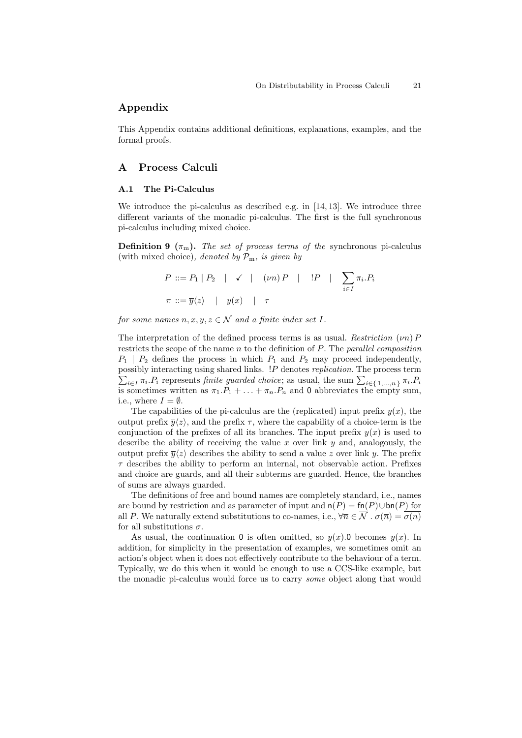# Appendix

This Appendix contains additional definitions, explanations, examples, and the formal proofs.

# A Process Calculi

#### A.1 The Pi-Calculus

We introduce the pi-calculus as described e.g. in [14, 13]. We introduce three different variants of the monadic pi-calculus. The first is the full synchronous pi-calculus including mixed choice.

**Definition 9**  $(\pi_m)$ . The set of process terms of the synchronous pi-calculus (with mixed choice), denoted by  $\mathcal{P}_{m}$ , is given by

$$
P ::= P_1 | P_2 | \checkmark \mid (\nu n) P | P_2 | \sum_{i \in I} \pi_i P_i
$$
  

$$
\pi ::= \overline{y} \langle z \rangle | y(x) | \tau
$$

for some names  $n, x, y, z \in \mathcal{N}$  and a finite index set I.

The interpretation of the defined process terms is as usual. Restriction  $(\nu n) P$ restricts the scope of the name  $n$  to the definition of  $P$ . The parallel composition  $P_1$  |  $P_2$  defines the process in which  $P_1$  and  $P_2$  may proceed independently, possibly interacting using shared links. ! P denotes replication. The process term  $\sum_{i\in I}\pi_i P_i$  represents finite guarded choice; as usual, the sum  $\sum_{i\in\{1,\dots,n\}}\pi_i P_i$ is sometimes written as  $\pi_1.P_1 + \ldots + \pi_n.P_n$  and 0 abbreviates the empty sum, i.e., where  $I = \emptyset$ .

The capabilities of the pi-calculus are the (replicated) input prefix  $y(x)$ , the output prefix  $\overline{y}\langle z \rangle$ , and the prefix  $\tau$ , where the capability of a choice-term is the conjunction of the prefixes of all its branches. The input prefix  $y(x)$  is used to describe the ability of receiving the value x over link  $y$  and, analogously, the output prefix  $\bar{y}\langle z \rangle$  describes the ability to send a value z over link y. The prefix  $\tau$  describes the ability to perform an internal, not observable action. Prefixes and choice are guards, and all their subterms are guarded. Hence, the branches of sums are always guarded.

The definitions of free and bound names are completely standard, i.e., names are bound by restriction and as parameter of input and  $n(P) = \text{fn}(P) \cup \text{bn}(P)$  for all P. We naturally extend substitutions to co-names, i.e.,  $\forall \overline{n} \in \overline{\mathcal{N}}$  .  $\sigma(\overline{n}) = \overline{\sigma(n)}$ for all substitutions  $\sigma$ .

As usual, the continuation 0 is often omitted, so  $y(x)$ . D becomes  $y(x)$ . In addition, for simplicity in the presentation of examples, we sometimes omit an action's object when it does not effectively contribute to the behaviour of a term. Typically, we do this when it would be enough to use a CCS-like example, but the monadic pi-calculus would force us to carry some object along that would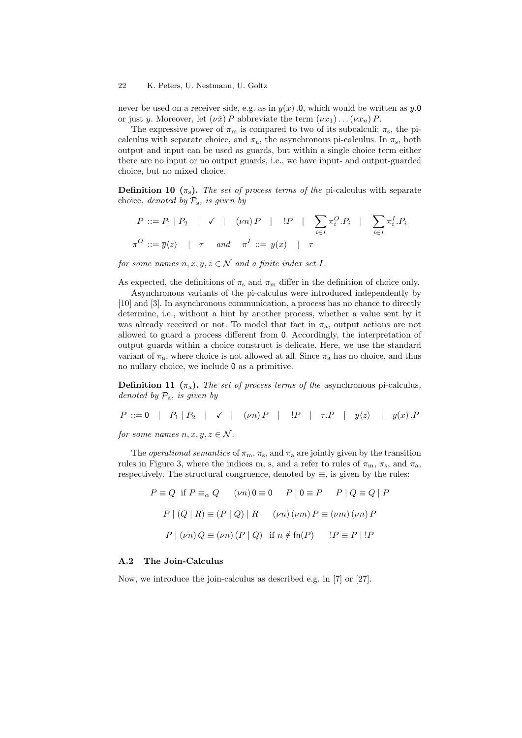#### 22 K. Peters, U. Nestmann, U. Goltz

never be used on a receiver side, e.g. as in  $y(x)$ .0, which would be written as y.0 or just y. Moreover, let  $(\nu \tilde{x}) P$  abbreviate the term  $(\nu x_1) \dots (\nu x_n) P$ .

The expressive power of  $\pi_{m}$  is compared to two of its subcalculi:  $\pi_{s}$ , the picalculus with separate choice, and  $\pi_a$ , the asynchronous pi-calculus. In  $\pi_s$ , both output and input can be used as guards, but within a single choice term either there are no input or no output guards, i.e., we have input- and output-guarded choice, but no mixed choice.

**Definition 10**  $(\pi_s)$ . The set of process terms of the pi-calculus with separate choice, denoted by  $P_s$ , is given by

$$
P ::= P_1 | P_2 | \checkmark \ (vn) P | P_1 | P_2 | \checkmark \{vn\} \cap P_3 | P_4 | \sum_{i \in I} \pi_i^O \cdot P_i | \sum_{i \in I} \pi_i^I \cdot P_i
$$
  

$$
\pi^O ::= \overline{y} \langle z \rangle | \tau \quad and \quad \pi^I ::= y(x) | \tau
$$

for some names  $n, x, y, z \in \mathcal{N}$  and a finite index set I.

As expected, the definitions of  $\pi_s$  and  $\pi_m$  differ in the definition of choice only.

Asynchronous variants of the pi-calculus were introduced independently by [10] and [3]. In asynchronous communication, a process has no chance to directly determine, i.e., without a hint by another process, whether a value sent by it was already received or not. To model that fact in  $\pi_a$ , output actions are not allowed to guard a process different from 0. Accordingly, the interpretation of output guards within a choice construct is delicate. Here, we use the standard variant of  $\pi_a$ , where choice is not allowed at all. Since  $\pi_a$  has no choice, and thus no nullary choice, we include 0 as a primitive.

**Definition 11**  $(\pi_a)$ . The set of process terms of the asynchronous pi-calculus, denoted by  $\mathcal{P}_a$ , is given by

$$
P ::= 0 \mid P_1 | P_2 \mid \checkmark \mid (\nu n) P \mid P \mid \tau.P \mid \overline{y} \langle z \rangle \mid y(x).P
$$

for some names  $n, x, y, z \in \mathcal{N}$ .

The *operational semantics* of  $\pi_m$ ,  $\pi_s$ , and  $\pi_a$  are jointly given by the transition rules in Figure 3, where the indices m, s, and a refer to rules of  $\pi_{m}$ ,  $\pi_{s}$ , and  $\pi_{a}$ , respectively. The structural congruence, denoted by  $\equiv$ , is given by the rules:

$$
P \equiv Q \text{ if } P \equiv_{\alpha} Q \qquad (\nu n) 0 \equiv 0 \qquad P \mid 0 \equiv P \qquad P \mid Q \equiv Q \mid P
$$

$$
P \mid (Q \mid R) \equiv (P \mid Q) \mid R \qquad (\nu n) (\nu m) P \equiv (\nu m) (\nu n) P
$$

$$
P \mid (\nu n) Q \equiv (\nu n) (P \mid Q) \text{ if } n \notin \text{fn}(P) \qquad !P \equiv P \mid !P
$$

## A.2 The Join-Calculus

Now, we introduce the join-calculus as described e.g. in [7] or [27].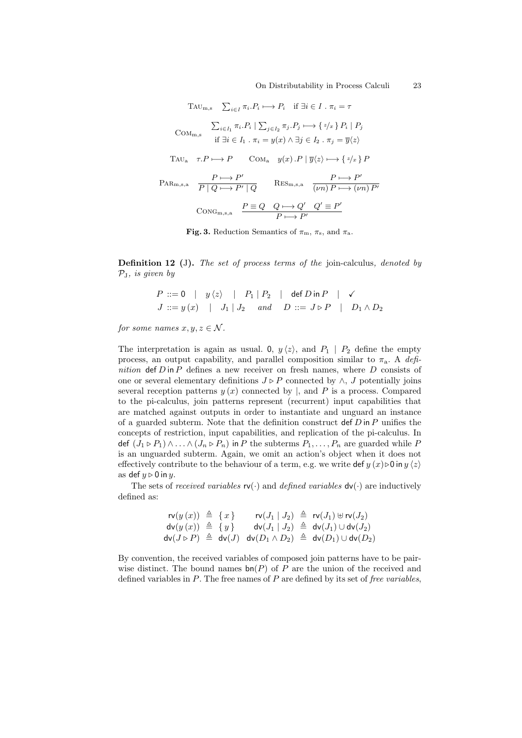On Distributability in Process Calculi 23

$$
T_{AU_{m,s}} \sum_{i \in I} \pi_i P_i \longrightarrow P_i \quad \text{if } \exists i \in I \, . \, \pi_i = \tau
$$
\n
$$
C_{OM_{m,s}} \sum_{i \in I_1} \pi_i P_i \mid \sum_{j \in I_2} \pi_j P_j \longmapsto \{z/x\} P_i \mid P_j
$$
\n
$$
\text{if } \exists i \in I_1 \, . \, \pi_i = y(x) \land \exists j \in I_2 \, . \, \pi_j = \overline{y}\langle z \rangle
$$
\n
$$
T_{AU_a} \quad \tau.P \longmapsto P \qquad \text{Com}_a \quad y(x) . P \mid \overline{y}\langle z \rangle \longmapsto \{z/x\} P
$$
\n
$$
P_{AR_{m,s,a}} \quad \frac{P \longmapsto P'}{P \mid Q \longmapsto P' \mid Q} \qquad \text{RES}_{m,s,a} \quad \frac{P \longmapsto P'}{(vn) P \longmapsto (vn) P'}
$$
\n
$$
\text{ConG}_{m,s,a} \quad \frac{P \equiv Q \quad Q \longmapsto Q' \quad Q' \equiv P'}{P \longmapsto P'}
$$

Fig. 3. Reduction Semantics of  $\pi_{\rm m}$ ,  $\pi_{\rm s}$ , and  $\pi_{\rm a}$ .

Definition 12 (J). The set of process terms of the join-calculus, denoted by  $P<sub>I</sub>$ , is given by

$$
P ::= 0 \mid y \langle z \rangle \mid P_1 \mid P_2 \mid \text{def } D \text{ in } P \mid \checkmark
$$
  

$$
J ::= y(x) \mid J_1 \mid J_2 \text{ and } D ::= J \triangleright P \mid D_1 \land D_2
$$

for some names  $x, y, z \in \mathcal{N}$ .

The interpretation is again as usual. 0,  $y \langle z \rangle$ , and  $P_1 \mid P_2$  define the empty process, an output capability, and parallel composition similar to  $\pi_a$ . A definition  $\det D$  in P defines a new receiver on fresh names, where D consists of one or several elementary definitions  $J \triangleright P$  connected by  $\wedge$ , J potentially joins several reception patterns  $y(x)$  connected by |, and P is a process. Compared to the pi-calculus, join patterns represent (recurrent) input capabilities that are matched against outputs in order to instantiate and unguard an instance of a guarded subterm. Note that the definition construct  $\det D$  in P unifies the concepts of restriction, input capabilities, and replication of the pi-calculus. In def  $(J_1 \triangleright P_1) \wedge \ldots \wedge (J_n \triangleright P_n)$  in P the subterms  $P_1, \ldots, P_n$  are guarded while P is an unguarded subterm. Again, we omit an action's object when it does not effectively contribute to the behaviour of a term, e.g. we write def  $y(x) \triangleright 0$  in  $y \langle z \rangle$ as def  $y \triangleright 0$  in y.

The sets of *received variables*  $\mathsf{rv}(\cdot)$  and *defined variables*  $\mathsf{dv}(\cdot)$  are inductively defined as:

$$
\begin{array}{rcl}\n\mathsf{rv}(y(x)) & \triangleq & \{x\} & \mathsf{rv}(J_1 \mid J_2) & \triangleq & \mathsf{rv}(J_1) \uplus \mathsf{rv}(J_2) \\
\mathsf{dv}(y(x)) & \triangleq & \{y\} & \mathsf{dv}(J_1 \mid J_2) & \triangleq & \mathsf{dv}(J_1) \cup \mathsf{dv}(J_2) \\
\mathsf{dv}(J \triangleright P) & \triangleq & \mathsf{dv}(J) & \mathsf{dv}(D_1 \wedge D_2) & \triangleq & \mathsf{dv}(D_1) \cup \mathsf{dv}(D_2)\n\end{array}
$$

By convention, the received variables of composed join patterns have to be pairwise distinct. The bound names  $bn(P)$  of P are the union of the received and defined variables in  $P$ . The free names of  $P$  are defined by its set of *free variables*,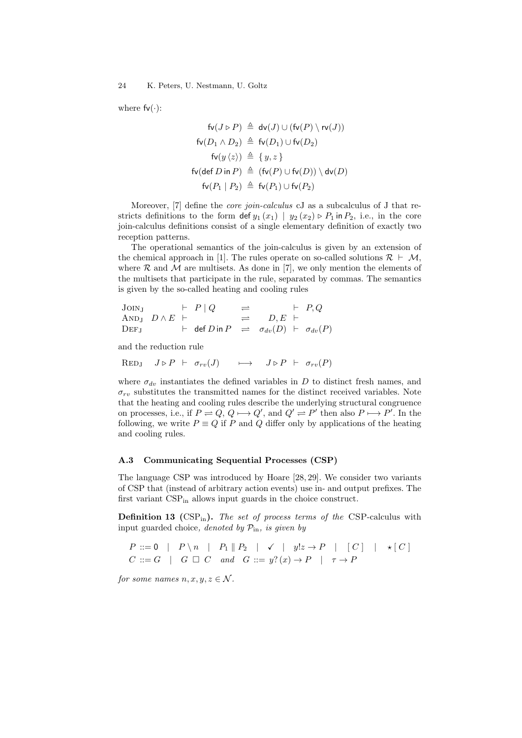24 K. Peters, U. Nestmann, U. Goltz

where  $fv(\cdot)$ :

$$
\mathsf{fv}(J \triangleright P) \triangleq \mathsf{dv}(J) \cup (\mathsf{fv}(P) \setminus \mathsf{rv}(J))
$$
\n
$$
\mathsf{fv}(D_1 \land D_2) \triangleq \mathsf{fv}(D_1) \cup \mathsf{fv}(D_2)
$$
\n
$$
\mathsf{fv}(y \langle z \rangle) \triangleq \{y, z\}
$$
\n
$$
\mathsf{fv}(\mathsf{def}\, D \mathsf{in}\, P) \triangleq (\mathsf{fv}(P) \cup \mathsf{fv}(D)) \setminus \mathsf{dv}(D)
$$
\n
$$
\mathsf{fv}(P_1 \mid P_2) \triangleq \mathsf{fv}(P_1) \cup \mathsf{fv}(P_2)
$$

Moreover, [7] define the *core join-calculus* cJ as a subcalculus of J that restricts definitions to the form  $\det y_1(x_1) | y_2(x_2) \triangleright P_1$  in  $P_2$ , i.e., in the core join-calculus definitions consist of a single elementary definition of exactly two reception patterns.

The operational semantics of the join-calculus is given by an extension of the chemical approach in [1]. The rules operate on so-called solutions  $\mathcal{R} \vdash \mathcal{M}$ , where  $R$  and  $M$  are multisets. As done in [7], we only mention the elements of the multisets that participate in the rule, separated by commas. The semantics is given by the so-called heating and cooling rules

\n
$$
\text{JONJ} \quad\n \begin{array}{ccc}\n & \vdash P \mid Q & \implies & \vdash P, Q \\
 \text{ANDJ} \quad D \land E \mid & \implies & D, E \mid \\
 \text{DEFJ} \quad & \vdash \quad \text{def } D \text{ in } P & \implies & \sigma_{dv}(D) \mid \vdash \sigma_{dv}(P)\n \end{array}
$$
\n

and the reduction rule

 $\text{RED}_J$   $J \triangleright P \vdash \sigma_{rv}(J) \longrightarrow J \triangleright P \vdash \sigma_{rv}(P)$ 

where  $\sigma_{dv}$  instantiates the defined variables in D to distinct fresh names, and  $\sigma_{rv}$  substitutes the transmitted names for the distinct received variables. Note that the heating and cooling rules describe the underlying structural congruence on processes, i.e., if  $P \rightleftharpoons Q$ ,  $Q \longmapsto Q'$ , and  $Q' \rightleftharpoons P'$  then also  $P \longmapsto P'$ . In the following, we write  $P \equiv Q$  if P and Q differ only by applications of the heating and cooling rules.

### A.3 Communicating Sequential Processes (CSP)

The language CSP was introduced by Hoare [28, 29]. We consider two variants of CSP that (instead of arbitrary action events) use in- and output prefixes. The first variant  $CSP_{in}$  allows input guards in the choice construct.

**Definition 13** (CSP<sub>in</sub>). The set of process terms of the CSP-calculus with input guarded choice, denoted by  $\mathcal{P}_{\text{in}}$ , is given by

$$
P ::= 0 \mid P \setminus n \mid P_1 \parallel P_2 \mid \checkmark \mid y!z \to P \mid [C] \mid \star [C]
$$
  

$$
C ::= G \mid G \square C \text{ and } G ::= y?(x) \to P \mid \tau \to P
$$

for some names  $n, x, y, z \in \mathcal{N}$ .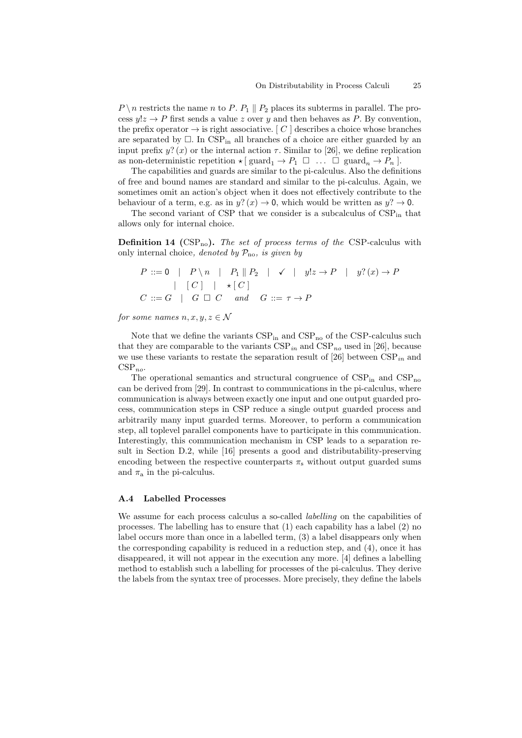$P \setminus n$  restricts the name n to P.  $P_1 \parallel P_2$  places its subterms in parallel. The process  $y!z \to P$  first sends a value z over y and then behaves as P. By convention, the prefix operator  $\rightarrow$  is right associative. [C ] describes a choice whose branches are separated by  $\Box$ . In CSP<sub>in</sub> all branches of a choice are either guarded by an input prefix  $y$ ? (x) or the internal action  $\tau$ . Similar to [26], we define replication as non-deterministic repetition  $\star$  [guard<sub>1</sub>  $\to$   $P_1 \square$  ...  $\square$  guard<sub>n</sub>  $\to$   $P_n$ ].

The capabilities and guards are similar to the pi-calculus. Also the definitions of free and bound names are standard and similar to the pi-calculus. Again, we sometimes omit an action's object when it does not effectively contribute to the behaviour of a term, e.g. as in  $y$ ?  $(x) \rightarrow 0$ , which would be written as  $y$ ?  $\rightarrow 0$ .

The second variant of CSP that we consider is a subcalculus of  $CSP_{in}$  that allows only for internal choice.

**Definition 14** (CSP<sub>no</sub>). The set of process terms of the CSP-calculus with only internal choice, denoted by  $\mathcal{P}_{no}$ , is given by

$$
P ::= 0 \mid P \setminus n \mid P_1 \parallel P_2 \mid \checkmark \mid y!z \to P \mid y?(x) \to P
$$
  
|\n
$$
[C] \mid \star [C]
$$
  

$$
C ::= G \mid G \square C \quad and \quad G ::= \tau \to P
$$

for some names  $n, x, y, z \in \mathcal{N}$ 

Note that we define the variants  $CSP_{in}$  and  $CSP_{no}$  of the  $CSP$ -calculus such that they are comparable to the variants  $CSP_{in}$  and  $CSP_{no}$  used in [26], because we use these variants to restate the separation result of [26] between  $CSP_{in}$  and  $CSP_{no}.$ 

The operational semantics and structural congruence of  $CSP_{in}$  and  $CSP_{no}$ can be derived from [29]. In contrast to communications in the pi-calculus, where communication is always between exactly one input and one output guarded process, communication steps in CSP reduce a single output guarded process and arbitrarily many input guarded terms. Moreover, to perform a communication step, all toplevel parallel components have to participate in this communication. Interestingly, this communication mechanism in CSP leads to a separation result in Section D.2, while [16] presents a good and distributability-preserving encoding between the respective counterparts  $\pi_s$  without output guarded sums and  $\pi_a$  in the pi-calculus.

#### A.4 Labelled Processes

We assume for each process calculus a so-called *labelling* on the capabilities of processes. The labelling has to ensure that (1) each capability has a label (2) no label occurs more than once in a labelled term, (3) a label disappears only when the corresponding capability is reduced in a reduction step, and (4), once it has disappeared, it will not appear in the execution any more. [4] defines a labelling method to establish such a labelling for processes of the pi-calculus. They derive the labels from the syntax tree of processes. More precisely, they define the labels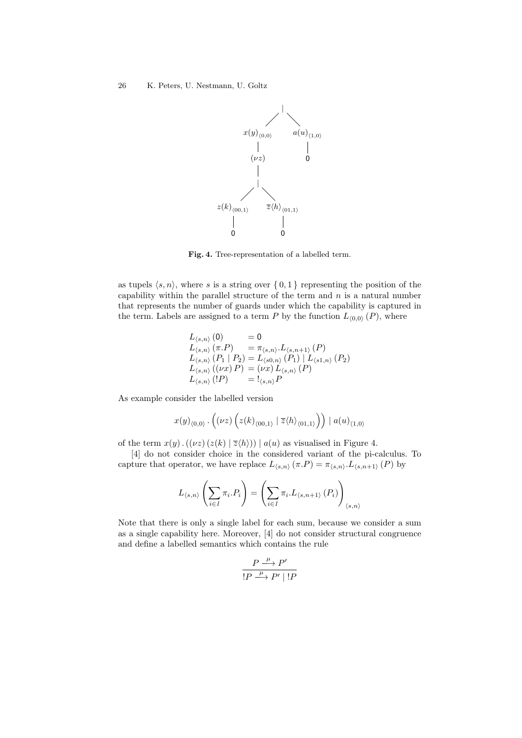

Fig. 4. Tree-representation of a labelled term.

as tupels  $\langle s, n \rangle$ , where s is a string over  $\{0, 1\}$  representing the position of the capability within the parallel structure of the term and  $n$  is a natural number that represents the number of guards under which the capability is captured in the term. Labels are assigned to a term P by the function  $L_{(0,0)}(P)$ , where

$$
L_{\langle s,n \rangle}(0) = 0 \nL_{\langle s,n \rangle}(\pi.P) = \pi_{\langle s,n \rangle}.L_{\langle s,n+1 \rangle}(P) \nL_{\langle s,n \rangle}(P_1 | P_2) = L_{\langle s0,n \rangle}(P_1) | L_{\langle s1,n \rangle}(P_2) \nL_{\langle s,n \rangle}((\nu x) P) = (\nu x) L_{\langle s,n \rangle}(P) \nL_{\langle s,n \rangle}(P) = !_{\langle s,n \rangle}P
$$

As example consider the labelled version

$$
x(y)_{\langle 0,0\rangle}\,.\,\Big((\nu z)\,\Big(z(k)_{\langle 00,1\rangle}\mid \overline{z}\langle h\rangle_{\langle 01,1\rangle}\Big)\Big)\mid a(u)_{\langle 1,0\rangle}
$$

of the term  $x(y)$ .  $((\nu z) (z(k) | \overline{z} \langle h \rangle)) | a(u)$  as visualised in Figure 4.

[4] do not consider choice in the considered variant of the pi-calculus. To capture that operator, we have replace  $L_{\langle s,n \rangle} (\pi.P) = \pi_{\langle s,n \rangle}.L_{\langle s,n+1 \rangle} (P)$  by

$$
L_{\langle s,n\rangle}\left(\sum_{i\in I}\pi_i.P_i\right)=\left(\sum_{i\in I}\pi_i.L_{\langle s,n+1\rangle}\left(P_i\right)\right)_{\langle s,n\rangle}
$$

Note that there is only a single label for each sum, because we consider a sum as a single capability here. Moreover, [4] do not consider structural congruence and define a labelled semantics which contains the rule

$$
\frac{P \xrightarrow{\mu} P'}{!P \xrightarrow{\mu} P' \mid !P}
$$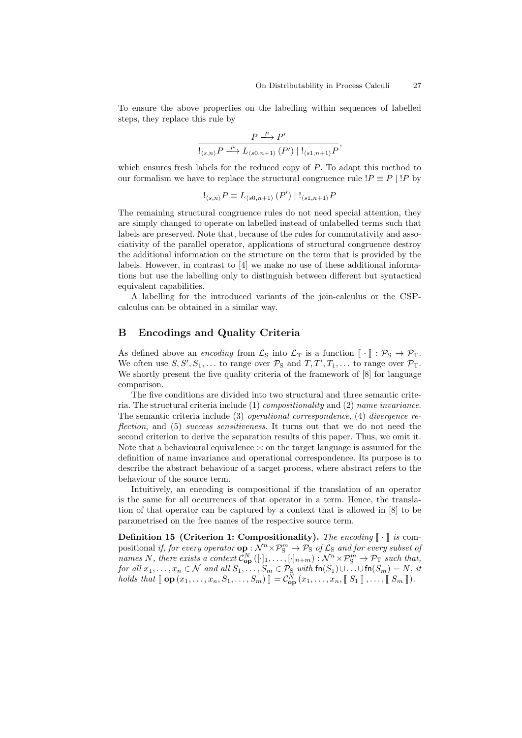To ensure the above properties on the labelling within sequences of labelled steps, they replace this rule by

$$
\frac{P \stackrel{\mu}{\longrightarrow} P'}{\mathop{\mathrel{!}}\nolimits_{\langle s,n\rangle} P \stackrel{\mu}{\longrightarrow} L_{\langle s0,n+1\rangle}\left(P'\right) \mid \mathrel{!}_{\langle s1,n+1\rangle} P},
$$

which ensures fresh labels for the reduced copy of P. To adapt this method to our formalism we have to replace the structural congruence rule  $\{P \equiv P \mid \}$  by

$$
\mathcal{L}_{\langle s,n\rangle}P\equiv L_{\langle s0,n+1\rangle}(P')\mid \mathcal{L}_{\langle s1,n+1\rangle}P
$$

The remaining structural congruence rules do not need special attention, they are simply changed to operate on labelled instead of unlabelled terms such that labels are preserved. Note that, because of the rules for commutativity and associativity of the parallel operator, applications of structural congruence destroy the additional information on the structure on the term that is provided by the labels. However, in contrast to [4] we make no use of these additional informations but use the labelling only to distinguish between different but syntactical equivalent capabilities.

A labelling for the introduced variants of the join-calculus or the CSPcalculus can be obtained in a similar way.

# B Encodings and Quality Criteria

As defined above an *encoding* from  $\mathcal{L}_S$  into  $\mathcal{L}_T$  is a function  $\llbracket \cdot \rrbracket : \mathcal{P}_S \to \mathcal{P}_T$ . We often use  $S, S', S_1, \ldots$  to range over  $\mathcal{P}_S$  and  $T, T', T_1, \ldots$  to range over  $\mathcal{P}_T$ . We shortly present the five quality criteria of the framework of [8] for language comparison.

The five conditions are divided into two structural and three semantic criteria. The structural criteria include (1) compositionality and (2) name invariance. The semantic criteria include  $(3)$  *operational correspondence*,  $(4)$  *divergence re*flection, and (5) success sensitiveness. It turns out that we do not need the second criterion to derive the separation results of this paper. Thus, we omit it. Note that a behavioural equivalence  $\leq$  on the target language is assumed for the definition of name invariance and operational correspondence. Its purpose is to describe the abstract behaviour of a target process, where abstract refers to the behaviour of the source term.

Intuitively, an encoding is compositional if the translation of an operator is the same for all occurrences of that operator in a term. Hence, the translation of that operator can be captured by a context that is allowed in [8] to be parametrised on the free names of the respective source term.

**Definition 15 (Criterion 1: Compositionality).** The encoding  $\lceil \cdot \rceil$  is compositional if, for every operator  $\mathbf{op}: \mathcal{N}^n \times \mathcal{P}_\mathcal{S}^m \to \mathcal{P}_\mathcal{S}$  of  $\mathcal{L}_\mathcal{S}$  and for every subset of names N, there exists a context  $\mathcal{C}^N_{\text{op}}([\cdot]_1, \ldots, [\cdot]_{n+m}) : \mathcal{N}^n \times \mathcal{P}^m_{\text{S}} \to \mathcal{P}_{\text{T}}$  such that, for all  $x_1, \ldots, x_n \in \mathcal{N}$  and all  $S_1, \ldots, S_m \in \mathcal{P}_S$  with  $\text{fn}(S_1) \cup \ldots \cup \text{fn}(S_m) = N$ , it holds that  $\llbracket \mathbf{op}(x_1,\ldots,x_n,S_1,\ldots,S_m) \rrbracket = \mathcal{C}^N_{\mathbf{op}}(x_1,\ldots,x_n,\llbracket S_1 \rrbracket,\ldots,\llbracket S_m \rrbracket).$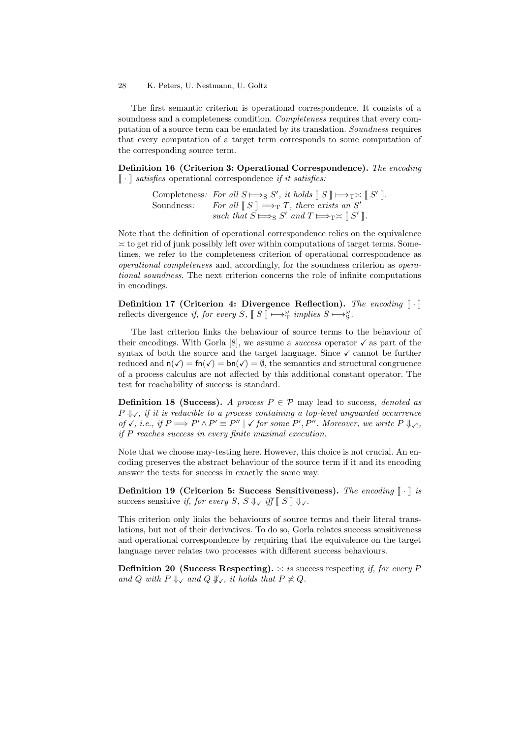#### 28 K. Peters, U. Nestmann, U. Goltz

The first semantic criterion is operational correspondence. It consists of a soundness and a completeness condition. Completeness requires that every computation of a source term can be emulated by its translation. Soundness requires that every computation of a target term corresponds to some computation of the corresponding source term.

Definition 16 (Criterion 3: Operational Correspondence). The encoding  $\llbracket \cdot \rrbracket$  satisfies operational correspondence if it satisfies:

> Completeness: For all  $S \implies S'$ , it holds  $[[S]] \implies T \asymp [[S']].$ Soundness: For all  $[S] \mapsto_T T$ , there exists an S' such that  $S \Longrightarrow_S S'$  and  $T \Longrightarrow_T \asymp \llbracket S' \rrbracket$ .

Note that the definition of operational correspondence relies on the equivalence  $\geq$  to get rid of junk possibly left over within computations of target terms. Sometimes, we refer to the completeness criterion of operational correspondence as operational completeness and, accordingly, for the soundness criterion as operational soundness. The next criterion concerns the role of infinite computations in encodings.

Definition 17 (Criterion 4: Divergence Reflection). The encoding  $\llbracket \cdot \rrbracket$ reflects divergence if, for every  $S$ ,  $\llbracket S \rrbracket \mapsto_{\mathbb{T}}^{\omega}$  implies  $S \mapsto_{\mathbb{S}}^{\omega}$ .

The last criterion links the behaviour of source terms to the behaviour of their encodings. With Gorla [8], we assume a *success* operator  $\checkmark$  as part of the syntax of both the source and the target language. Since  $\checkmark$  cannot be further reduced and  $n(\checkmark) = \text{fn}(\checkmark) = \text{bn}(\checkmark) = \emptyset$ , the semantics and structural congruence of a process calculus are not affected by this additional constant operator. The test for reachability of success is standard.

**Definition 18 (Success).** A process  $P \in \mathcal{P}$  may lead to success, denoted as  $P \Downarrow_{\checkmark}$ , if it is reducible to a process containing a top-level unguarded occurrence of √, i.e., if  $P \Longrightarrow P' \land P' \equiv P'' \mid \checkmark$  for some  $P', P''$ . Moreover, we write  $P \Downarrow \checkmark$ , if P reaches success in every finite maximal execution.

Note that we choose may-testing here. However, this choice is not crucial. An encoding preserves the abstract behaviour of the source term if it and its encoding answer the tests for success in exactly the same way.

Definition 19 (Criterion 5: Success Sensitiveness). The encoding  $\llbracket \cdot \rrbracket$  is success sensitive if, for every S,  $S \Downarrow \check{f}$  iff  $\mathbb{S} \parallel \Downarrow \check{f}$ .

This criterion only links the behaviours of source terms and their literal translations, but not of their derivatives. To do so, Gorla relates success sensitiveness and operational correspondence by requiring that the equivalence on the target language never relates two processes with different success behaviours.

**Definition 20 (Success Respecting).**  $\geq$  is success respecting if, for every P and Q with  $P \Downarrow_{\checkmark}$  and  $Q \Downarrow_{\checkmark}$ , it holds that  $P \nless Q$ .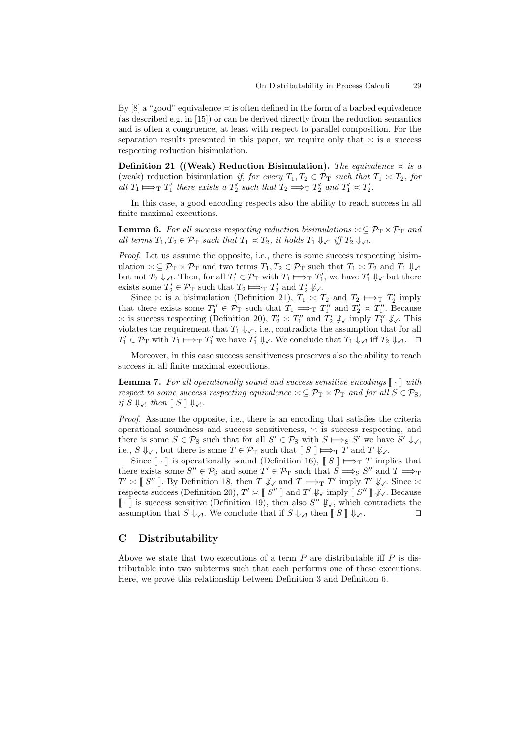By [8] a "good" equivalence  $\leq$  is often defined in the form of a barbed equivalence (as described e.g. in [15]) or can be derived directly from the reduction semantics and is often a congruence, at least with respect to parallel composition. For the separation results presented in this paper, we require only that  $\approx$  is a success respecting reduction bisimulation.

Definition 21 ((Weak) Reduction Bisimulation). The equivalence  $\approx$  is a (weak) reduction bisimulation if, for every  $T_1, T_2 \in \mathcal{P}_T$  such that  $T_1 \approx T_2$ , for all  $T_1 \mapsto_T T'_1$  there exists a  $T'_2$  such that  $T_2 \mapsto_T T'_2$  and  $T'_1 \times T'_2$ .

In this case, a good encoding respects also the ability to reach success in all finite maximal executions.

**Lemma 6.** For all success respecting reduction bisimulations  $\leq \mathcal{P}_T \times \mathcal{P}_T$  and all terms  $T_1, T_2 \in \mathcal{P}_T$  such that  $T_1 \asymp T_2$ , it holds  $T_1 \Downarrow_{\mathcal{N}}$  iff  $T_2 \Downarrow_{\mathcal{N}}$ .

Proof. Let us assume the opposite, i.e., there is some success respecting bisimulation  $\alpha \subseteq \mathcal{P}_{\mathcal{T}} \times \mathcal{P}_{\mathcal{T}}$  and two terms  $T_1, T_2 \in \mathcal{P}_{\mathcal{T}}$  such that  $T_1 \times T_2$  and  $T_1 \downarrow_{\mathcal{T}}$ but not  $T_2 \downarrow_{\mathcal{J}}$ . Then, for all  $T_1' \in \mathcal{P}_T$  with  $T_1 \mapsto_T T_1'$ , we have  $T_1' \downarrow_{\mathcal{J}}$  but there exists some  $T_2' \in \mathcal{P}_T$  such that  $T_2 \implies_T T_2'$  and  $T_2' \downarrow\downarrow$ .

Since  $\approx$  is a bisimulation (Definition 21),  $T_1 \approx T_2$  and  $T_2 \implies_T T_2'$  imply that there exists some  $T''_1 \in \mathcal{P}_T$  such that  $T_1 \Longrightarrow_T T''_1$  and  $T'_2 \approx T''_1$ . Because  $\approx$  is success respecting (Definition 20),  $T_2' \approx T_1''$  and  $T_2' \not\Downarrow_{\mathcal{N}}$  imply  $T_1'' \not\Downarrow_{\mathcal{N}}$ . This violates the requirement that  $T_1 \downarrow \downarrow \ldots$ , contradicts the assumption that for all  $T_1' \in \mathcal{P}_{\rm T}$  with  $T_1 \Longrightarrow_{\rm T} T_1'$  we have  $T_1' \Downarrow_{\checkmark}$ . We conclude that  $T_1 \Downarrow_{\checkmark}$  iff  $T_2 \Downarrow_{\checkmark}$ .  $\square$ 

Moreover, in this case success sensitiveness preserves also the ability to reach success in all finite maximal executions.

**Lemma 7.** For all operationally sound and success sensitive encodings  $\lceil \cdot \rceil$  with respect to some success respecting equivalence  $\leq \mathcal{P}_T \times \mathcal{P}_T$  and for all  $S \in \mathcal{P}_S$ , if  $S \Downarrow_{\mathcal{A}}$  then  $\llbracket S \rrbracket \Downarrow_{\mathcal{A}}$ .

Proof. Assume the opposite, i.e., there is an encoding that satisfies the criteria operational soundness and success sensitiveness,  $\approx$  is success respecting, and there is some  $S \in \mathcal{P}_S$  such that for all  $S' \in \mathcal{P}_S$  with  $S \implies S'$  we have  $S' \Downarrow_{\checkmark}$ , i.e.,  $S \Downarrow_{\mathcal{A}}$ , but there is some  $T \in \mathcal{P}_T$  such that  $\llbracket S \rrbracket \Longrightarrow_T T$  and  $T \Downarrow_{\mathcal{A}}$ .

Since  $\lceil \cdot \rceil$  is operationally sound (Definition 16),  $\lceil S \rceil \Longrightarrow_T T$  implies that there exists some  $S'' \in \mathcal{P}_S$  and some  $T' \in \mathcal{P}_T$  such that  $S \Longrightarrow_S S''$  and  $T \Longrightarrow_T$ <br> $\mathcal{F}' \longrightarrow T' \longrightarrow T''$  $T' \approx \llbracket S'' \rrbracket$ . By Definition 18, then  $T \not\Downarrow_{\checkmark}$  and  $T \Longrightarrow_T T'$  imply  $T' \not\Downarrow_{\checkmark}$ . Since  $\approx$ respects success (Definition 20),  $T' \approx \llbracket S'' \rrbracket$  and  $T' \not\Vdash_{\mathcal{S}} \text{imply} \llbracket S'' \rrbracket \not\Vdash_{\mathcal{S}} \text{Because}$  $\llbracket \cdot \rrbracket$  is success sensitive (Definition 19), then also  $S'' \nparallel_{\mathcal{S}}$ , which contradicts the assumption that  $S \downarrow_{\checkmark}$ . We conclude that if  $S \downarrow_{\checkmark}$  then  $\llbracket S \rrbracket \downarrow_{\checkmark}$ .  $\Box$ 

## C Distributability

Above we state that two executions of a term  $P$  are distributable iff  $P$  is distributable into two subterms such that each performs one of these executions. Here, we prove this relationship between Definition 3 and Definition 6.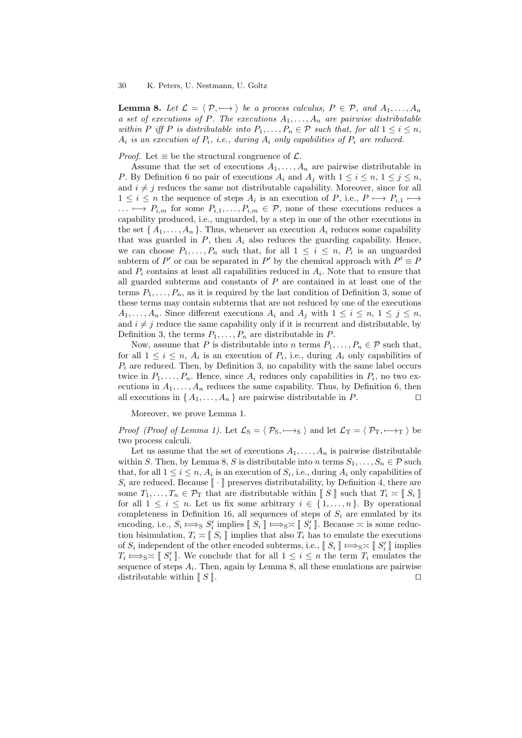**Lemma 8.** Let  $\mathcal{L} = \langle \mathcal{P}, \longmapsto \rangle$  be a process calculus,  $P \in \mathcal{P}$ , and  $A_1, \dots, A_n$ a set of executions of P. The executions  $A_1, \ldots, A_n$  are pairwise distributable within P iff P is distributable into  $P_1, \ldots, P_n \in \mathcal{P}$  such that, for all  $1 \leq i \leq n$ ,  $A_i$  is an execution of  $P_i$ , i.e., during  $A_i$  only capabilities of  $P_i$  are reduced.

*Proof.* Let  $\equiv$  be the structural congruence of  $\mathcal{L}$ .

Assume that the set of executions  $A_1, \ldots, A_n$  are pairwise distributable in P. By Definition 6 no pair of executions  $A_i$  and  $A_j$  with  $1 \leq i \leq n, 1 \leq j \leq n$ , and  $i \neq j$  reduces the same not distributable capability. Moreover, since for all  $1 \leq i \leq n$  the sequence of steps  $A_i$  is an execution of  $P$ , i.e.,  $P \mapsto P_{i,1} \mapsto$  $\ldots \mapsto P_{i,m}$  for some  $P_{i,1}, \ldots, P_{i,m} \in \mathcal{P}$ , none of these executions reduces a capability produced, i.e., unguarded, by a step in one of the other executions in the set  $\{A_1, \ldots, A_n\}$ . Thus, whenever an execution  $A_i$  reduces some capability that was guarded in  $P$ , then  $A_i$  also reduces the guarding capability. Hence, we can choose  $P_1, \ldots, P_n$  such that, for all  $1 \leq i \leq n$ ,  $P_i$  is an unguarded subterm of P' or can be separated in P' by the chemical approach with  $P' \equiv P$ and  $P_i$  contains at least all capabilities reduced in  $A_i$ . Note that to ensure that all guarded subterms and constants of  $P$  are contained in at least one of the terms  $P_1, \ldots, P_n$ , as it is required by the last condition of Definition 3, some of these terms may contain subterms that are not reduced by one of the executions  $A_1, \ldots, A_n$ . Since different executions  $A_i$  and  $A_j$  with  $1 \leq i \leq n, 1 \leq j \leq n$ , and  $i \neq j$  reduce the same capability only if it is recurrent and distributable, by Definition 3, the terms  $P_1, \ldots, P_n$  are distributable in P.

Now, assume that P is distributable into n terms  $P_1, \ldots, P_n \in \mathcal{P}$  such that, for all  $1 \leq i \leq n$ ,  $A_i$  is an execution of  $P_i$ , i.e., during  $A_i$  only capabilities of  $P_i$  are reduced. Then, by Definition 3, no capability with the same label occurs twice in  $P_1, \ldots, P_n$ . Hence, since  $A_i$  reduces only capabilities in  $P_i$ , no two executions in  $A_1, \ldots, A_n$  reduces the same capability. Thus, by Definition 6, then all executions in  $\{A_1, \ldots, A_n\}$  are pairwise distributable in P.

Moreover, we prove Lemma 1.

*Proof (Proof of Lemma 1).* Let  $\mathcal{L}_S = \langle \mathcal{P}_S, \longmapsto_S \rangle$  and let  $\mathcal{L}_T = \langle \mathcal{P}_T, \longmapsto_T \rangle$  be two process calculi.

Let us assume that the set of executions  $A_1, \ldots, A_n$  is pairwise distributable within S. Then, by Lemma 8, S is distributable into n terms  $S_1, \ldots, S_n \in \mathcal{P}$  such that, for all  $1 \leq i \leq n$ ,  $A_i$  is an execution of  $S_i$ , i.e., during  $A_i$  only capabilities of  $S_i$  are reduced. Because  $\llbracket \cdot \rrbracket$  preserves distributability, by Definition 4, there are some  $T_1, \ldots, T_n \in \mathcal{P}_{\mathcal{T}}$  that are distributable within  $\llbracket S \rrbracket$  such that  $T_i \times \llbracket S_i \rrbracket$ for all  $1 \leq i \leq n$ . Let us fix some arbitrary  $i \in \{1, \ldots, n\}$ . By operational completeness in Definition 16, all sequences of steps of  $S_i$  are emulated by its encoding, i.e.,  $S_i \Longrightarrow_S S'_i$  implies  $[[S_i] \Longrightarrow_S \asymp [[S'_i]]$ . Because  $\asymp$  is some reduction bisimulation,  $T_i \approx \llbracket S_i \rrbracket$  implies that also  $T_i$  has to emulate the executions of  $S_i$  independent of the other encoded subterms, i.e.,  $\llbracket S_i \rrbracket \Longrightarrow_{S} \asymp \llbracket S_i' \rrbracket$  implies  $T_i \mapsto_S \asymp \llbracket S'_i \rrbracket$ . We conclude that for all  $1 \leq i \leq n$  the term  $T_i$  emulates the sequence of steps  $A_i$ . Then, again by Lemma 8, all these emulations are pairwise distributable within  $\llbracket S \rrbracket$ .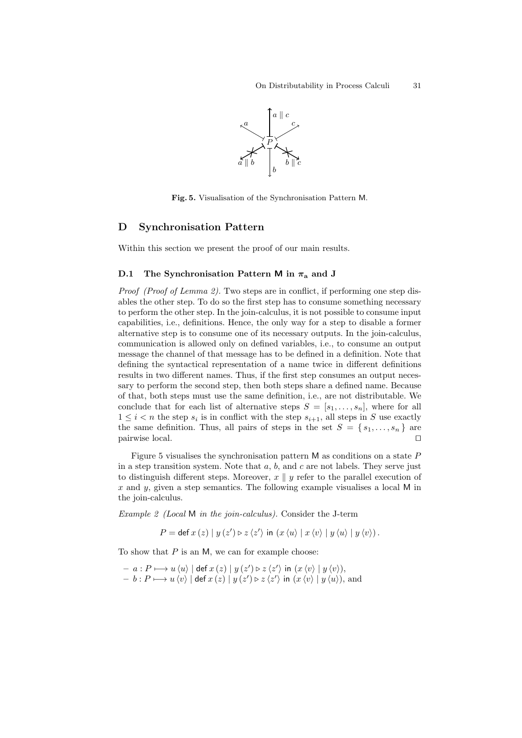

Fig. 5. Visualisation of the Synchronisation Pattern M.

## D Synchronisation Pattern

Within this section we present the proof of our main results.

## D.1 The Synchronisation Pattern M in  $\pi_a$  and J

Proof (Proof of Lemma 2). Two steps are in conflict, if performing one step disables the other step. To do so the first step has to consume something necessary to perform the other step. In the join-calculus, it is not possible to consume input capabilities, i.e., definitions. Hence, the only way for a step to disable a former alternative step is to consume one of its necessary outputs. In the join-calculus, communication is allowed only on defined variables, i.e., to consume an output message the channel of that message has to be defined in a definition. Note that defining the syntactical representation of a name twice in different definitions results in two different names. Thus, if the first step consumes an output necessary to perform the second step, then both steps share a defined name. Because of that, both steps must use the same definition, i.e., are not distributable. We conclude that for each list of alternative steps  $S = [s_1, \ldots, s_n]$ , where for all  $1 \leq i < n$  the step  $s_i$  is in conflict with the step  $s_{i+1}$ , all steps in S use exactly the same definition. Thus, all pairs of steps in the set  $S = \{s_1, \ldots, s_n\}$  are pairwise local. pairwise local.

Figure 5 visualises the synchronisation pattern  $M$  as conditions on a state  $P$ in a step transition system. Note that  $a, b$ , and  $c$  are not labels. They serve just to distinguish different steps. Moreover,  $x \parallel y$  refer to the parallel execution of x and y, given a step semantics. The following example visualises a local  $M$  in the join-calculus.

Example 2 (Local M in the join-calculus). Consider the J-term

 $P = \det x(z) | y(z') \triangleright z \langle z' \rangle \text{ in } (x \langle u \rangle | x \langle v \rangle | y \langle u \rangle | y \langle v \rangle).$ 

To show that  $P$  is an M, we can for example choose:

 $- a : P \longmapsto u \langle u \rangle \mid \det x \left( z \right) \mid y \left( z^{\prime} \right) \triangleright z \langle z^{\prime} \rangle$  in  $\left( x \langle v \rangle \mid y \langle v \rangle \right),$  $- b : P \longmapsto u \, \langle v \rangle \mid \det x \, (z) \mid y \, (z') \triangleright z \, \langle z' \rangle$  in  $(x \, \langle v \rangle \mid y \, \langle u \rangle),$  and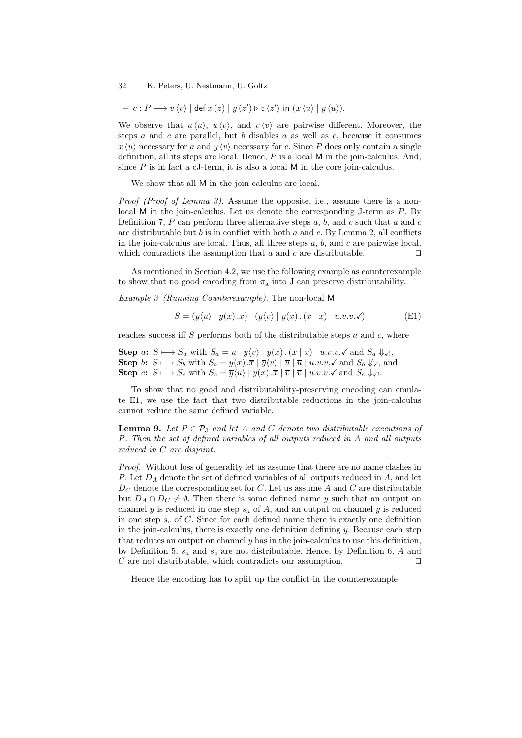$$
- c : P \longmapsto v \langle v \rangle \mid \det x (z) \mid y (z') \triangleright z \langle z' \rangle \text{ in } (x \langle u \rangle \mid y \langle u \rangle).
$$

We observe that  $u \langle u \rangle$ ,  $u \langle v \rangle$ , and  $v \langle v \rangle$  are pairwise different. Moreover, the steps  $a$  and  $c$  are parallel, but  $b$  disables  $a$  as well as  $c$ , because it consumes  $x \langle u \rangle$  necessary for a and  $y \langle v \rangle$  necessary for c. Since P does only contain a single definition, all its steps are local. Hence,  $P$  is a local  $M$  in the join-calculus. And, since  $P$  is in fact a cJ-term, it is also a local  $M$  in the core join-calculus.

We show that all M in the join-calculus are local.

Proof (Proof of Lemma 3). Assume the opposite, i.e., assume there is a nonlocal M in the join-calculus. Let us denote the corresponding J-term as  $P$ . By Definition 7,  $P$  can perform three alternative steps  $a, b$ , and  $c$  such that  $a$  and  $c$ are distributable but  $b$  is in conflict with both  $a$  and  $c$ . By Lemma 2, all conflicts in the join-calculus are local. Thus, all three steps  $a, b$ , and  $c$  are pairwise local, which contradicts the assumption that  $a$  and  $c$  are distributable.  $\Box$ 

As mentioned in Section 4.2, we use the following example as counterexample to show that no good encoding from  $\pi_a$  into J can preserve distributability.

Example 3 (Running Counterexample). The non-local M

$$
S = (\overline{y}\langle u \rangle \mid y(x) \cdot \overline{x}) \mid (\overline{y}\langle v \rangle \mid y(x) \cdot (\overline{x} \mid \overline{x}) \mid u.v.v.\checkmark)
$$
 (E1)

reaches success iff S performs both of the distributable steps  $a$  and  $c$ , where

Step  $a: S \longrightarrow S_a$  with  $S_a = \overline{u} | \overline{y} \langle v \rangle | y(x) \cdot (\overline{x} | \overline{x}) | u.v.v.$  and  $S_a \Downarrow_{\mathcal{A}}$ , Step b:  $S \longmapsto S_b$  with  $S_b = y(x) . \overline{x} | \overline{y} \langle v \rangle | \overline{u} | \overline{u} | u.v.v. \checkmark$  and  $S_b \not\downarrow \checkmark$ , and Step  $c: S \longrightarrow S_c$  with  $S_c = \overline{y}\langle u \rangle \mid y(x) . \overline{x} \mid \overline{v} \mid u.v.v.\checkmark$  and  $S_c \Downarrow \checkmark$ .

To show that no good and distributability-preserving encoding can emulate E1, we use the fact that two distributable reductions in the join-calculus cannot reduce the same defined variable.

**Lemma 9.** Let  $P \in \mathcal{P}_J$  and let A and C denote two distributable executions of P. Then the set of defined variables of all outputs reduced in A and all outputs reduced in C are disjoint.

Proof. Without loss of generality let us assume that there are no name clashes in P. Let  $D_A$  denote the set of defined variables of all outputs reduced in  $A$ , and let  $D_C$  denote the corresponding set for  $C$ . Let us assume  $A$  and  $C$  are distributable but  $D_A \cap D_C \neq \emptyset$ . Then there is some defined name y such that an output on channel y is reduced in one step  $s_a$  of A, and an output on channel y is reduced in one step  $s_c$  of C. Since for each defined name there is exactly one definition in the join-calculus, there is exactly one definition defining  $y$ . Because each step that reduces an output on channel  $y$  has in the join-calculus to use this definition, by Definition 5,  $s_a$  and  $s_c$  are not distributable. Hence, by Definition 6, A and C are not distributable, which contradicts our assumption.  $\Box$ 

Hence the encoding has to split up the conflict in the counterexample.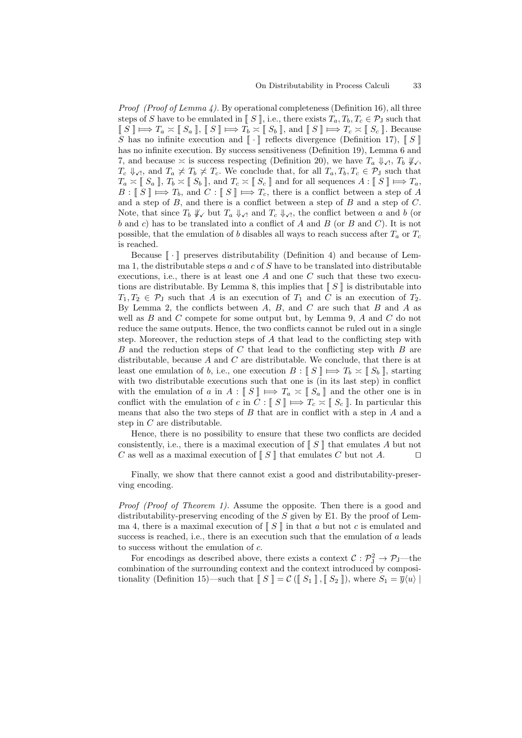*Proof (Proof of Lemma 4).* By operational completeness (Definition 16), all three steps of S have to be emulated in  $\llbracket S \rrbracket$ , i.e., there exists  $T_a, T_b, T_c \in \mathcal{P}_J$  such that  $\llbracket S \rrbracket \Longrightarrow T_a \asymp \llbracket S_a \rrbracket, \llbracket S \rrbracket \Longrightarrow T_b \asymp \llbracket S_b \rrbracket, \text{ and } \llbracket S \rrbracket \Longrightarrow T_c \asymp \llbracket S_c \rrbracket.$  Because S has no infinite execution and  $\llbracket \cdot \rrbracket$  reflects divergence (Definition 17),  $\llbracket S \rrbracket$ has no infinite execution. By success sensitiveness (Definition 19), Lemma 6 and 7, and because  $\asymp$  is success respecting (Definition 20), we have  $T_a \Downarrow_{\mathcal{A}}$ ,  $T_b \Downarrow_{\mathcal{S}}$ ,  $T_c \Downarrow_{\mathcal{A}}$ , and  $T_a \not\asymp T_b \not\asymp T_c$ . We conclude that, for all  $T_a, T_b, T_c \in \mathcal{P}_J$  such that  $T_a \times \llbracket S_a \rrbracket$ ,  $T_b \times \llbracket S_b \rrbracket$ , and  $T_c \times \llbracket S_c \rrbracket$  and for all sequences  $A : \llbracket S \rrbracket \Longrightarrow T_a$ ,  $B: \llbracket S \rrbracket \Longleftrightarrow T_b$ , and  $C: \llbracket S \rrbracket \Longleftrightarrow T_c$ , there is a conflict between a step of A and a step of  $B$ , and there is a conflict between a step of  $B$  and a step of  $C$ . Note, that since  $T_b \nparallel_{\mathcal{N}}$  but  $T_a \nparallel_{\mathcal{N}}$  and  $T_c \nparallel_{\mathcal{N}}$ , the conflict between a and b (or b and c) has to be translated into a conflict of A and B (or B and C). It is not possible, that the emulation of b disables all ways to reach success after  $T_a$  or  $T_c$ is reached.

Because  $\llbracket \cdot \rrbracket$  preserves distributability (Definition 4) and because of Lemma 1, the distributable steps a and c of  $S$  have to be translated into distributable executions, i.e., there is at least one  $A$  and one  $C$  such that these two executions are distributable. By Lemma 8, this implies that  $\llbracket S \rrbracket$  is distributable into  $T_1, T_2 \in \mathcal{P}_J$  such that A is an execution of  $T_1$  and C is an execution of  $T_2$ . By Lemma 2, the conflicts between  $A, B$ , and  $C$  are such that  $B$  and  $A$  as well as  $B$  and  $C$  compete for some output but, by Lemma 9,  $A$  and  $C$  do not reduce the same outputs. Hence, the two conflicts cannot be ruled out in a single step. Moreover, the reduction steps of A that lead to the conflicting step with  $B$  and the reduction steps of  $C$  that lead to the conflicting step with  $B$  are distributable, because  $A$  and  $C$  are distributable. We conclude, that there is at least one emulation of b, i.e., one execution  $B: \llbracket S \rrbracket \Longrightarrow T_b \asymp \llbracket S_b \rrbracket$ , starting with two distributable executions such that one is (in its last step) in conflict with the emulation of a in  $A: \llbracket S \rrbracket \Longrightarrow T_a \asymp \llbracket S_a \rrbracket$  and the other one is in conflict with the emulation of c in  $\tilde{C} : \llbracket S \rrbracket \Longrightarrow T_c \asymp \llbracket S_c \rrbracket$ . In particular this means that also the two steps of  $B$  that are in conflict with a step in  $A$  and a step in C are distributable.

Hence, there is no possibility to ensure that these two conflicts are decided consistently, i.e., there is a maximal execution of  $\llbracket S \rrbracket$  that emulates A but not C as well as a maximal execution of  $\llbracket S \rrbracket$  that emulates C but not A.  $C$  as well as a maximal execution of  $\mathbb{I} S \mathbb{I}$  that emulates  $C$  but not  $A$ .

Finally, we show that there cannot exist a good and distributability-preserving encoding.

Proof (Proof of Theorem 1). Assume the opposite. Then there is a good and distributability-preserving encoding of the  $S$  given by E1. By the proof of Lemma 4, there is a maximal execution of  $\llbracket S \rrbracket$  in that a but not c is emulated and success is reached, i.e., there is an execution such that the emulation of  $a$  leads to success without the emulation of c.

For encodings as described above, there exists a context  $C : \mathcal{P}_{J}^{2} \to \mathcal{P}_{J}$ —the combination of the surrounding context and the context introduced by compositionality (Definition 15)—such that  $\llbracket S \rrbracket = C (\llbracket S_1 \rrbracket, \llbracket S_2 \rrbracket)$ , where  $S_1 = \overline{y} \langle u \rangle \mid$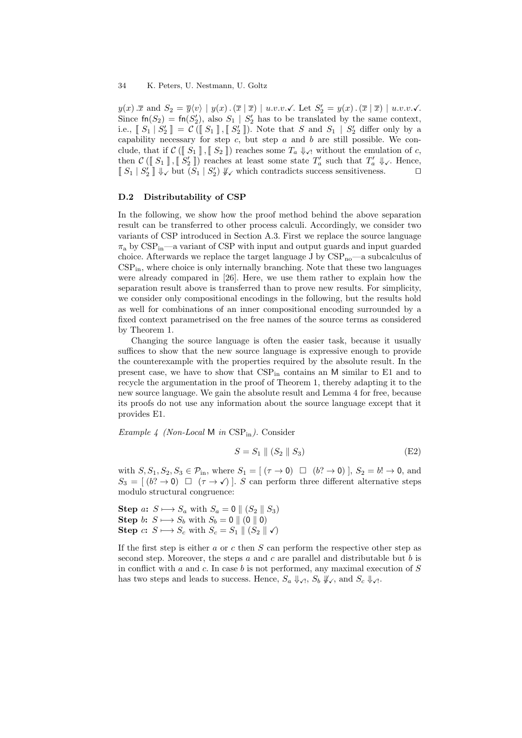$y(x)$   $\overline{x}$  and  $S_2 = \overline{y}\langle v \rangle \mid y(x)$   $(\overline{x} \mid \overline{x}) \mid u.v.v.\checkmark$ . Let  $S_2' = y(x)$   $(\overline{x} \mid \overline{x}) \mid u.v.v.\checkmark$ . Since  $\text{fn}(S_2) = \text{fn}(S_2'),$  also  $S_1 \mid S_2'$  has to be translated by the same context, i.e.,  $\llbracket S_1 \rrbracket S_2' \rrbracket = \mathcal{C}(\llbracket S_1 \rrbracket, \llbracket S_2' \rrbracket)$ . Note that S and  $S_1 \rrbracket S_2'$  differ only by a capability necessary for step  $c$ , but step  $a$  and  $b$  are still possible. We conclude, that if  $C([S_1], [S_2])$  reaches some  $T_a \Downarrow_{\mathcal{N}}$  without the emulation of c, then  $\mathcal{C}(\llbracket S_1 \rrbracket, \llbracket S_2' \rrbracket)$  reaches at least some state  $T_a'$  such that  $T_a' \Downarrow_{\mathcal{S}}$ . Hence,  $\llbracket S_1 | S_2' \rrbracket \Downarrow_{\checkmark}$  but  $(S_1 | S_2') \Downarrow_{\checkmark}$  which contradicts success sensitiveness.

## D.2 Distributability of CSP

In the following, we show how the proof method behind the above separation result can be transferred to other process calculi. Accordingly, we consider two variants of CSP introduced in Section A.3. First we replace the source language  $\pi_a$  by CSP<sub>in</sub>—a variant of CSP with input and output guards and input guarded choice. Afterwards we replace the target language J by  $CSP_{no}$ —a subcalculus of  $CSP_{in}$ , where choice is only internally branching. Note that these two languages were already compared in [26]. Here, we use them rather to explain how the separation result above is transferred than to prove new results. For simplicity, we consider only compositional encodings in the following, but the results hold as well for combinations of an inner compositional encoding surrounded by a fixed context parametrised on the free names of the source terms as considered by Theorem 1.

Changing the source language is often the easier task, because it usually suffices to show that the new source language is expressive enough to provide the counterexample with the properties required by the absolute result. In the present case, we have to show that  $CSP_{in}$  contains an M similar to E1 and to recycle the argumentation in the proof of Theorem 1, thereby adapting it to the new source language. We gain the absolute result and Lemma 4 for free, because its proofs do not use any information about the source language except that it provides E1.

Example 4 (Non-Local M in  $CSP_{in}$ ). Consider

$$
S = S_1 \parallel (S_2 \parallel S_3) \tag{E2}
$$

with  $S, S_1, S_2, S_3 \in \mathcal{P}_{\text{in}}$ , where  $S_1 = \left[ (\tau \to 0) \square (b^2 \to 0) \right], S_2 = b! \to 0$ , and  $S_3 = (b^2 \rightarrow 0) \square (\tau \rightarrow \sqrt{S})$ . S can perform three different alternative steps modulo structural congruence:

Step a:  $S \longrightarrow S_a$  with  $S_a = 0 \parallel (S_2 \parallel S_3)$ Step b:  $S \longmapsto S_b$  with  $S_b = 0 \parallel (0 \parallel 0)$ Step c:  $S \longmapsto S_c$  with  $S_c = S_1 || (S_2 || \checkmark)$ 

If the first step is either  $a$  or  $c$  then  $S$  can perform the respective other step as second step. Moreover, the steps  $a$  and  $c$  are parallel and distributable but  $b$  is in conflict with  $a$  and  $c$ . In case  $b$  is not performed, any maximal execution of  $S$ has two steps and leads to success. Hence,  $S_a \Downarrow \downarrow \ldots S_b \Downarrow \downarrow \ldots$  and  $S_c \Downarrow \downarrow \ldots$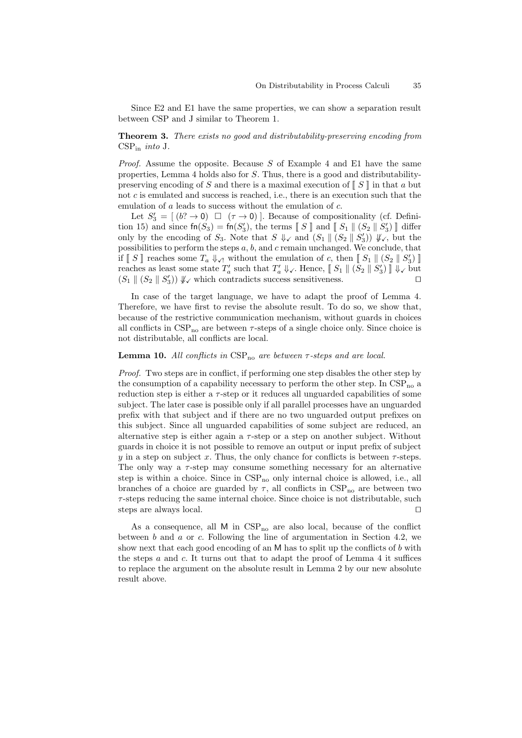Since E2 and E1 have the same properties, we can show a separation result between CSP and J similar to Theorem 1.

# Theorem 3. There exists no good and distributability-preserving encoding from  $CSP_{in}$  into J.

*Proof.* Assume the opposite. Because S of Example 4 and E1 have the same properties, Lemma 4 holds also for S. Thus, there is a good and distributabilitypreserving encoding of S and there is a maximal execution of  $\llbracket S \rrbracket$  in that a but not  $c$  is emulated and success is reached, i.e., there is an execution such that the emulation of a leads to success without the emulation of c.

Let  $S'_3 = [(b? \rightarrow 0) \square (\tau \rightarrow 0)]$ . Because of compositionality (cf. Definition 15) and since  $\text{fn}(S_3) = \text{fn}(S'_3)$ , the terms  $\llbracket S \rrbracket$  and  $\llbracket S_1 \rrbracket (S_2 \rrbracket S'_3) \rrbracket$  different substitution of  $S$ . Note that  $S \parallel \text{ord}(S \parallel (S \perp \parallel S'))$   $\parallel$ only by the encoding of  $S_3$ . Note that  $S \Downarrow \checkmark$  and  $(S_1 \parallel (S_2 \parallel S_3')) \Downarrow \checkmark$ , but the possibilities to perform the steps  $a, b$ , and  $c$  remain unchanged. We conclude, that if  $\llbracket S \rrbracket$  reaches some  $T_a \Downarrow_{\mathcal{A}}$  without the emulation of c, then  $\llbracket S_1 \rrbracket$   $(S_2 \parallel S'_3) \rrbracket$ reaches as least some state  $T_a'$  such that  $T_a' \Downarrow \downarrow$ . Hence,  $\llbracket S_1 \rrbracket (S_2 \parallel S_3') \rrbracket \Downarrow \downarrow$  but  $(S_1 \parallel (S_2 \parallel S'_3)) \Downarrow_{\checkmark}$  which contradicts success sensitiveness.

In case of the target language, we have to adapt the proof of Lemma 4. Therefore, we have first to revise the absolute result. To do so, we show that, because of the restrictive communication mechanism, without guards in choices all conflicts in  $CSP_{no}$  are between  $\tau$ -steps of a single choice only. Since choice is not distributable, all conflicts are local.

### **Lemma 10.** All conflicts in  $CSP_{no}$  are between  $\tau$ -steps and are local.

Proof. Two steps are in conflict, if performing one step disables the other step by the consumption of a capability necessary to perform the other step. In  $CSP_{no}$  a reduction step is either a  $\tau$ -step or it reduces all unguarded capabilities of some subject. The later case is possible only if all parallel processes have an unguarded prefix with that subject and if there are no two unguarded output prefixes on this subject. Since all unguarded capabilities of some subject are reduced, an alternative step is either again a  $\tau$ -step or a step on another subject. Without guards in choice it is not possible to remove an output or input prefix of subject y in a step on subject x. Thus, the only chance for conflicts is between  $\tau$ -steps. The only way a  $\tau$ -step may consume something necessary for an alternative step is within a choice. Since in  $CSP_{no}$  only internal choice is allowed, i.e., all branches of a choice are guarded by  $\tau$ , all conflicts in  $CSP_{no}$  are between two  $\tau$ -steps reducing the same internal choice. Since choice is not distributable, such steps are always local.  $\Box$ 

As a consequence, all  $M$  in  $CSP_{no}$  are also local, because of the conflict between b and a or c. Following the line of argumentation in Section 4.2, we show next that each good encoding of an M has to split up the conflicts of  $b$  with the steps  $a$  and  $c$ . It turns out that to adapt the proof of Lemma 4 it suffices to replace the argument on the absolute result in Lemma 2 by our new absolute result above.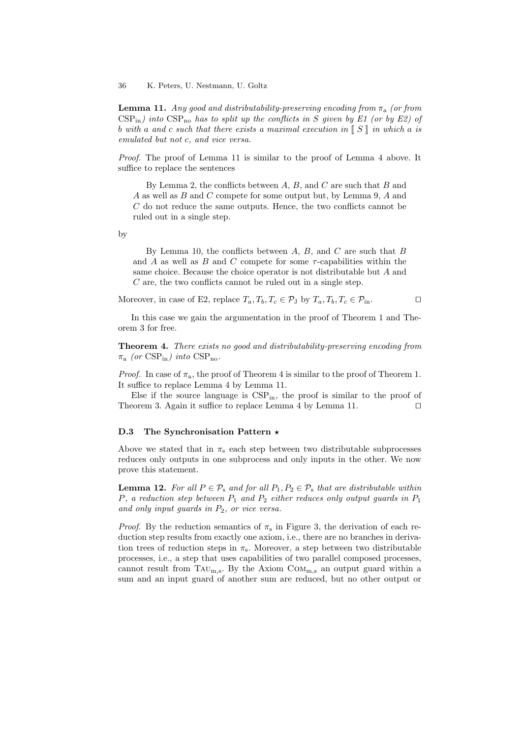36 K. Peters, U. Nestmann, U. Goltz

**Lemma 11.** Any good and distributability-preserving encoding from  $\pi_a$  (or from  $CSP_{\text{in}}$ ) into  $CSP_{\text{no}}$  has to split up the conflicts in S given by E1 (or by E2) of b with a and c such that there exists a maximal execution in  $\parallel S \parallel$  in which a is emulated but not c, and vice versa.

Proof. The proof of Lemma 11 is similar to the proof of Lemma 4 above. It suffice to replace the sentences

By Lemma 2, the conflicts between  $A, B$ , and  $C$  are such that  $B$  and A as well as B and C compete for some output but, by Lemma 9, A and  $C$  do not reduce the same outputs. Hence, the two conflicts cannot be ruled out in a single step.

by

By Lemma 10, the conflicts between  $A, B$ , and  $C$  are such that  $B$ and A as well as B and C compete for some  $\tau$ -capabilities within the same choice. Because the choice operator is not distributable but A and  $C$  are, the two conflicts cannot be ruled out in a single step.

Moreover, in case of E2, replace  $T_a, T_b, T_c \in \mathcal{P}_J$  by  $T_a, T_b, T_c \in \mathcal{P}_{in}$ .

In this case we gain the argumentation in the proof of Theorem 1 and Theorem 3 for free.

Theorem 4. There exists no good and distributability-preserving encoding from  $\pi_{\rm a}$  (or CSP<sub>in</sub>) into CSP<sub>no</sub>.

*Proof.* In case of  $\pi_a$ , the proof of Theorem 4 is similar to the proof of Theorem 1. It suffice to replace Lemma 4 by Lemma 11.

Else if the source language is  $CSP_{in}$ , the proof is similar to the proof of Theorem 3. Again it suffice to replace Lemma 4 by Lemma 11.  $\Box$ 

#### D.3 The Synchronisation Pattern  $\star$

Above we stated that in  $\pi_s$  each step between two distributable subprocesses reduces only outputs in one subprocess and only inputs in the other. We now prove this statement.

**Lemma 12.** For all  $P \in \mathcal{P}_s$  and for all  $P_1, P_2 \in \mathcal{P}_s$  that are distributable within P, a reduction step between  $P_1$  and  $P_2$  either reduces only output guards in  $P_1$ and only input guards in  $P_2$ , or vice versa.

*Proof.* By the reduction semantics of  $\pi_s$  in Figure 3, the derivation of each reduction step results from exactly one axiom, i.e., there are no branches in derivation trees of reduction steps in  $\pi_s$ . Moreover, a step between two distributable processes, i.e., a step that uses capabilities of two parallel composed processes, cannot result from TAU<sub>m,s</sub>. By the Axiom  $COM_{m,s}$  an output guard within a sum and an input guard of another sum are reduced, but no other output or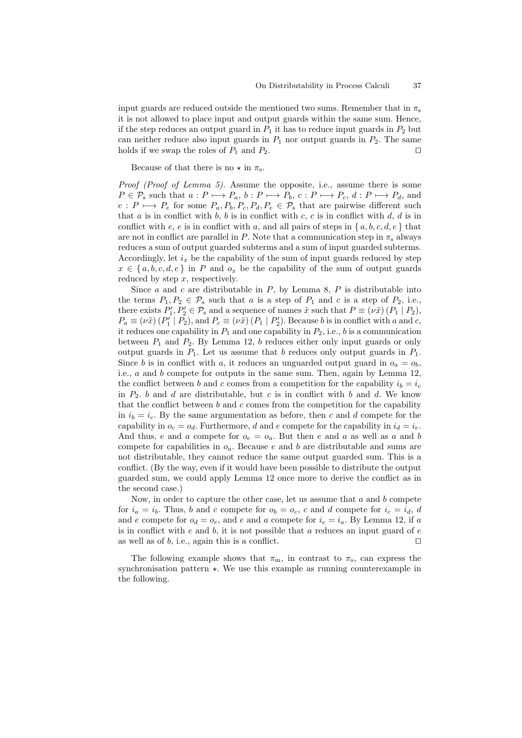input guards are reduced outside the mentioned two sums. Remember that in  $\pi_s$ it is not allowed to place input and output guards within the same sum. Hence, if the step reduces an output guard in  $P_1$  it has to reduce input guards in  $P_2$  but can neither reduce also input guards in  $P_1$  nor output guards in  $P_2$ . The same holds if we swap the roles of  $P_1$  and  $P_2$ .

Because of that there is no  $\star$  in  $\pi_s$ .

Proof (Proof of Lemma 5). Assume the opposite, i.e., assume there is some  $P \in \mathcal{P}_s$  such that  $a : P \longmapsto P_a$ ,  $b : P \longmapsto P_b$ ,  $c : P \longmapsto P_c$ ,  $d : P \longmapsto P_d$ , and  $e: P \longmapsto P_e$  for some  $P_a, P_b, P_c, P_d, P_e \in \mathcal{P}_s$  that are pairwise different such that  $a$  is in conflict with  $b, b$  is in conflict with  $c, c$  is in conflict with  $d, d$  is in conflict with e, e is in conflict with a, and all pairs of steps in  $\{a, b, c, d, e\}$  that are not in conflict are parallel in P. Note that a communication step in  $\pi_s$  always reduces a sum of output guarded subterms and a sum of input guarded subterms. Accordingly, let  $i_x$  be the capability of the sum of input guards reduced by step  $x \in \{a, b, c, d, e\}$  in P and  $o_x$  be the capability of the sum of output guards reduced by step  $x$ , respectively.

Since  $a$  and  $c$  are distributable in  $P$ , by Lemma 8,  $P$  is distributable into the terms  $P_1, P_2 \in \mathcal{P}_s$  such that a is a step of  $P_1$  and c is a step of  $P_2$ , i.e., there exists  $P'_1, P'_2 \in \mathcal{P}_s$  and a sequence of names  $\tilde{x}$  such that  $P \equiv (\nu \tilde{x}) (P_1 \mid P_2)$ ,  $P_a \equiv (\nu \tilde{x}) (P'_1 | P_2)$ , and  $P_c \equiv (\nu \tilde{x}) (P_1 | P'_2)$ . Because b is in conflict with a and c, it reduces one capability in  $P_1$  and one capability in  $P_2$ , i.e., b is a communication between  $P_1$  and  $P_2$ . By Lemma 12, b reduces either only input guards or only output guards in  $P_1$ . Let us assume that b reduces only output guards in  $P_1$ . Since b is in conflict with a, it reduces an unguarded output guard in  $o_a = o_b$ , i.e.,  $a$  and  $b$  compete for outputs in the same sum. Then, again by Lemma 12, the conflict between b and c comes from a competition for the capability  $i_b = i_c$ in  $P_2$ . b and d are distributable, but c is in conflict with b and d. We know that the conflict between  $b$  and  $c$  comes from the competition for the capability in  $i_b = i_c$ . By the same argumentation as before, then c and d compete for the capability in  $o_c = o_d$ . Furthermore, d and e compete for the capability in  $i_d = i_e$ . And thus, e and a compete for  $o_e = o_a$ . But then e and a as well as a and b compete for capabilities in  $o_a$ . Because e and b are distributable and sums are not distributable, they cannot reduce the same output guarded sum. This is a conflict. (By the way, even if it would have been possible to distribute the output guarded sum, we could apply Lemma 12 once more to derive the conflict as in the second case.)

Now, in order to capture the other case, let us assume that  $a$  and  $b$  compete for  $i_a = i_b$ . Thus, b and c compete for  $o_b = o_c$ , c and d compete for  $i_c = i_d$ , d and e compete for  $o_d = o_e$ , and e and a compete for  $i_e = i_a$ . By Lemma 12, if a is in conflict with  $e$  and  $b$ , it is not possible that  $a$  reduces an input guard of  $e$ as well as of  $b$ , i.e., again this is a conflict.  $\Box$ 

The following example shows that  $\pi_{m}$ , in contrast to  $\pi_{s}$ , can express the synchronisation pattern  $\star$ . We use this example as running counterexample in the following.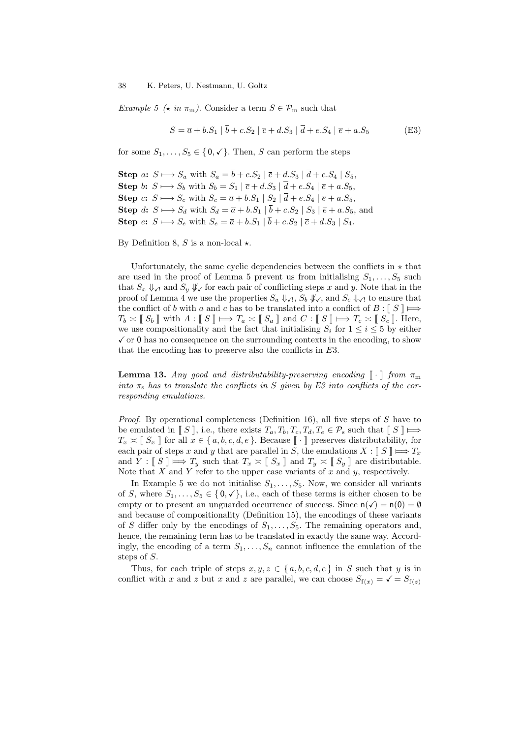Example 5 ( $\star$  in  $\pi_{\rm m}$ ). Consider a term  $S \in \mathcal{P}_{\rm m}$  such that

$$
S = \overline{a} + b.S_1 | \overline{b} + c.S_2 | \overline{c} + d.S_3 | \overline{d} + e.S_4 | \overline{e} + a.S_5
$$
 (E3)

for some  $S_1, \ldots, S_5 \in \{0, \checkmark\}$ . Then, S can perform the steps

Step a:  $S \rightarrow S_a$  with  $S_a = \overline{b} + c.S_2 | \overline{c} + d.S_3 | \overline{d} + e.S_4 | S_5$ Step b:  $S \mapsto S_b$  with  $S_b = S_1 | \overline{c} + d.S_3 | \overline{d} + e.S_4 | \overline{e} + a.S_5$ , Step c:  $S \mapsto S_c$  with  $S_c = \overline{a} + b.S_1 | S_2 | \overline{d} + e.S_4 | \overline{e} + a.S_5$ , Step d:  $S \longmapsto S_d$  with  $S_d = \overline{a} + b.S_1 \mid b + c.S_2 \mid S_3 \mid \overline{e} + a.S_5$ , and Step  $e: S \longrightarrow S_e$  with  $S_e = \overline{a} + b.S_1 | b + c.S_2 | \overline{c} + d.S_3 | S_4$ .

By Definition 8, S is a non-local  $\star$ .

Unfortunately, the same cyclic dependencies between the conflicts in  $\star$  that are used in the proof of Lemma 5 prevent us from initialising  $S_1, \ldots, S_5$  such that  $S_x \Downarrow_{\mathcal{N}}$  and  $S_y \Downarrow_{\mathcal{N}}$  for each pair of conflicting steps x and y. Note that in the proof of Lemma 4 we use the properties  $S_a \Downarrow_{\checkmark}$ ,  $S_b \Downarrow_{\checkmark}$ , and  $S_c \Downarrow_{\checkmark}$  to ensure that the conflict of b with a and c has to be translated into a conflict of  $B: \llbracket S \rrbracket \Longrightarrow$  $T_b \times \llbracket S_b \rrbracket$  with  $A : \llbracket S \rrbracket \Longrightarrow T_a \times \llbracket S_a \rrbracket$  and  $C : \llbracket S \rrbracket \Longrightarrow T_c \times \llbracket S_c \rrbracket$ . Here, we use compositionality and the fact that initialising  $S_i$  for  $1 \leq i \leq 5$  by either  $\checkmark$  or 0 has no consequence on the surrounding contexts in the encoding, to show that the encoding has to preserve also the conflicts in E3.

**Lemma 13.** Any good and distributability-preserving encoding  $\llbracket \cdot \rrbracket$  from  $\pi_{\rm m}$ into  $\pi_s$  has to translate the conflicts in S given by E3 into conflicts of the corresponding emulations.

Proof. By operational completeness (Definition 16), all five steps of S have to be emulated in  $\llbracket S \rrbracket$ , i.e., there exists  $T_a, T_b, T_c, T_d, T_e \in \mathcal{P}_s$  such that  $\llbracket S \rrbracket \Longrightarrow$  $T_x \approx \llbracket S_x \rrbracket$  for all  $x \in \{a, b, c, d, e\}$ . Because  $\llbracket \cdot \rrbracket$  preserves distributability, for each pair of steps x and y that are parallel in S, the emulations  $X : \llbracket S \rrbracket \Longrightarrow T_x$ and  $Y : \llbracket S \rrbracket \Longrightarrow T_y$  such that  $T_x \asymp \llbracket S_x \rrbracket$  and  $T_y \asymp \llbracket S_y \rrbracket$  are distributable. Note that  $X$  and  $Y$  refer to the upper case variants of  $x$  and  $y$ , respectively.

In Example 5 we do not initialise  $S_1, \ldots, S_5$ . Now, we consider all variants of S, where  $S_1, \ldots, S_5 \in \{0, \checkmark\}$ , i.e., each of these terms is either chosen to be empty or to present an unguarded occurrence of success. Since  $n(\checkmark) = n(0) = \emptyset$ and because of compositionality (Definition 15), the encodings of these variants of S differ only by the encodings of  $S_1, \ldots, S_5$ . The remaining operators and, hence, the remaining term has to be translated in exactly the same way. Accordingly, the encoding of a term  $S_1, \ldots, S_n$  cannot influence the emulation of the steps of S.

Thus, for each triple of steps  $x, y, z \in \{a, b, c, d, e\}$  in S such that y is in conflict with x and z but x and z are parallel, we can choose  $S_{f(x)} = \sqrt{S_{f(z)}}$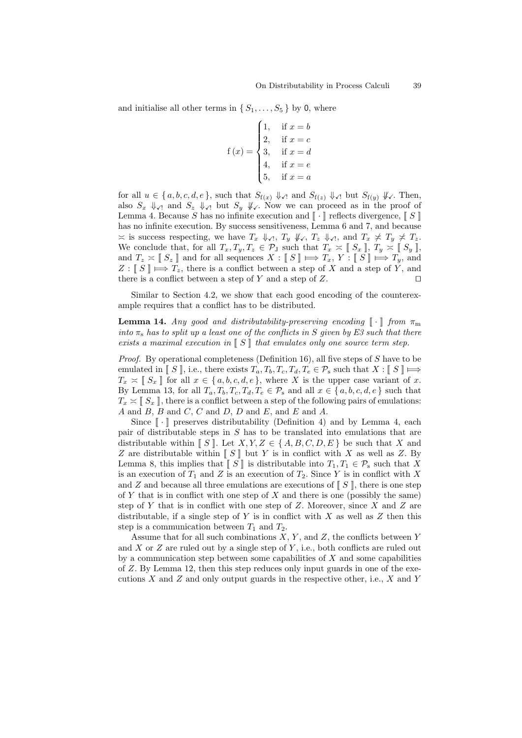and initialise all other terms in  $\{S_1, \ldots, S_5\}$  by 0, where

$$
{\bf f}\left(x\right) = \begin{cases} 1, & \text{if } x = b \\ 2, & \text{if } x = c \\ 3, & \text{if } x = d \\ 4, & \text{if } x = e \\ 5, & \text{if } x = a \end{cases}
$$

for all  $u \in \{a, b, c, d, e\}$ , such that  $S_{f(x)} \Downarrow_{\mathcal{N}}$  and  $S_{f(z)} \Downarrow_{\mathcal{N}}$  but  $S_{f(y)} \Downarrow_{\mathcal{N}}$ . Then, also  $S_x \Vdash_{\mathcal{A}}$  and  $S_z \Vdash_{\mathcal{A}}$  but  $S_y \Vdash_{\mathcal{A}}$ . Now we can proceed as in the proof of Lemma 4. Because S has no infinite execution and  $\llbracket \cdot \rrbracket$  reflects divergence,  $\llbracket S \rrbracket$ has no infinite execution. By success sensitiveness, Lemma 6 and 7, and because  $\leq$  is success respecting, we have  $T_x \Downarrow \hspace{-.05cm} \downarrow$ ,  $T_y \Downarrow \hspace{-.05cm} \downarrow$ ,  $T_z \Downarrow \hspace{-.05cm} \downarrow$ , and  $T_x \not\preceq T_y \not\preceq T_z$ . We conclude that, for all  $T_x, T_y, T_z \in \mathcal{P}_J$  such that  $T_x \approx \llbracket S_x \rrbracket$ ,  $T_y \approx \llbracket S_y \rrbracket$ , and  $T_z \approx \llbracket S_z \rrbracket$  and for all sequences  $X : \llbracket S \rrbracket \Longleftrightarrow T_x, Y : \llbracket S \rrbracket \Longleftrightarrow T_y$ , and  $Z : \llbracket S \rrbracket \Longleftrightarrow T_z$ , there is a conflict between a step of X and a step of Y, and there is a conflict between a step of Y and a step of Z. there is a conflict between a step of  $Y$  and a step of  $Z$ .

Similar to Section 4.2, we show that each good encoding of the counterexample requires that a conflict has to be distributed.

**Lemma 14.** Any good and distributability-preserving encoding  $\llbracket \cdot \rrbracket$  from  $\pi_m$ into  $\pi_s$  has to split up a least one of the conflicts in S given by E3 such that there exists a maximal execution in  $\llbracket S \rrbracket$  that emulates only one source term step.

Proof. By operational completeness (Definition 16), all five steps of S have to be emulated in  $\llbracket S \rrbracket$ , i.e., there exists  $T_a, T_b, T_c, T_d, T_e \in \mathcal{P}_s$  such that  $X : \llbracket S \rrbracket \Longrightarrow$  $T_x \approx \llbracket S_x \rrbracket$  for all  $x \in \{a, b, c, d, e\}$ , where X is the upper case variant of x. By Lemma 13, for all  $T_a, T_b, T_c, T_d, T_e \in \mathcal{P}_s$  and all  $x \in \{a, b, c, d, e\}$  such that  $T_x \approx \llbracket S_x \rrbracket$ , there is a conflict between a step of the following pairs of emulations:  $A$  and  $B$ ,  $B$  and  $C$ ,  $C$  and  $D$ ,  $D$  and  $E$ , and  $E$  and  $A$ .

Since  $\lceil \cdot \rceil$  preserves distributability (Definition 4) and by Lemma 4, each pair of distributable steps in  $S$  has to be translated into emulations that are distributable within  $\llbracket S \rrbracket$ . Let  $X, Y, Z \in \{A, B, C, D, E\}$  be such that X and Z are distributable within  $\llbracket S \rrbracket$  but Y is in conflict with X as well as Z. By Lemma 8, this implies that  $\llbracket S \rrbracket$  is distributable into  $T_1, T_1 \in \mathcal{P}_s$  such that X is an execution of  $T_1$  and Z is an execution of  $T_2$ . Since Y is in conflict with X and Z and because all three emulations are executions of  $\llbracket S \rrbracket$ , there is one step of Y that is in conflict with one step of X and there is one (possibly the same) step of  $Y$  that is in conflict with one step of  $Z$ . Moreover, since  $X$  and  $Z$  are distributable, if a single step of Y is in conflict with X as well as Z then this step is a communication between  $T_1$  and  $T_2$ .

Assume that for all such combinations  $X, Y$ , and  $Z$ , the conflicts between  $Y$ and X or  $Z$  are ruled out by a single step of  $Y$ , i.e., both conflicts are ruled out by a communication step between some capabilities of  $X$  and some capabilities of Z. By Lemma 12, then this step reduces only input guards in one of the executions  $X$  and  $Z$  and only output guards in the respective other, i.e.,  $X$  and  $Y$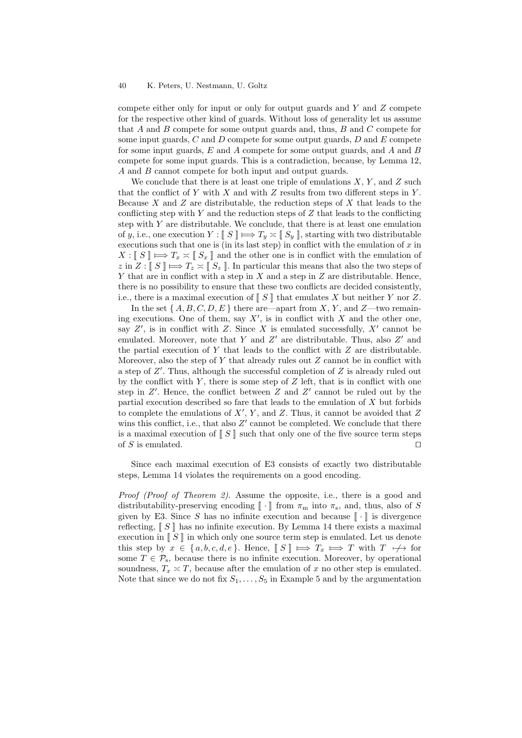compete either only for input or only for output guards and  $Y$  and  $Z$  compete for the respective other kind of guards. Without loss of generality let us assume that  $A$  and  $B$  compete for some output guards and, thus,  $B$  and  $C$  compete for some input guards,  $C$  and  $D$  compete for some output guards,  $D$  and  $E$  compete for some input guards,  $E$  and  $\tilde{A}$  compete for some output guards, and  $\tilde{A}$  and  $\tilde{B}$ compete for some input guards. This is a contradiction, because, by Lemma 12, A and B cannot compete for both input and output guards.

We conclude that there is at least one triple of emulations  $X, Y$ , and  $Z$  such that the conflict of Y with X and with  $Z$  results from two different steps in Y. Because  $X$  and  $Z$  are distributable, the reduction steps of  $X$  that leads to the conflicting step with  $Y$  and the reduction steps of  $Z$  that leads to the conflicting step with  $Y$  are distributable. We conclude, that there is at least one emulation of y, i.e., one execution  $Y : \llbracket S \rrbracket \Longrightarrow T_y \asymp \llbracket S_y \rrbracket$ , starting with two distributable executions such that one is (in its last step) in conflict with the emulation of  $x$  in  $X: \llbracket S \rrbracket \Longrightarrow T_x \asymp \llbracket S_x \rrbracket$  and the other one is in conflict with the emulation of z in  $Z: \llbracket S \rrbracket \Longrightarrow T_z \asymp \llbracket S_z \rrbracket$ . In particular this means that also the two steps of Y that are in conflict with a step in  $X$  and a step in  $Z$  are distributable. Hence, there is no possibility to ensure that these two conflicts are decided consistently, i.e., there is a maximal execution of  $\llbracket S \rrbracket$  that emulates X but neither Y nor Z.

In the set  $\{A, B, C, D, E\}$  there are—apart from X, Y, and Z—two remaining executions. One of them, say  $X'$ , is in conflict with X and the other one, say  $Z'$ , is in conflict with Z. Since X is emulated successfully,  $X'$  cannot be emulated. Moreover, note that Y and Z' are distributable. Thus, also  $Z'$  and the partial execution of  $Y$  that leads to the conflict with  $Z$  are distributable. Moreover, also the step of Y that already rules out  $Z$  cannot be in conflict with a step of  $Z'$ . Thus, although the successful completion of  $Z$  is already ruled out by the conflict with Y, there is some step of  $Z$  left, that is in conflict with one step in  $Z'$ . Hence, the conflict between Z and  $Z'$  cannot be ruled out by the partial execution described so fare that leads to the emulation of  $X$  but forbids to complete the emulations of  $X'$ ,  $Y$ , and  $Z$ . Thus, it cannot be avoided that  $Z$ wins this conflict, i.e., that also  $Z'$  cannot be completed. We conclude that there is a maximal execution of  $\llbracket S \rrbracket$  such that only one of the five source term steps of S is emulated. of  $S$  is emulated.

Since each maximal execution of E3 consists of exactly two distributable steps, Lemma 14 violates the requirements on a good encoding.

Proof (Proof of Theorem 2). Assume the opposite, i.e., there is a good and distributability-preserving encoding  $[\![\cdot]\!]$  from  $\pi_m$  into  $\pi_s$ , and, thus, also of  $S$ given by E3. Since S has no infinite execution and because  $\llbracket \cdot \rrbracket$  is divergence reflecting,  $\llbracket S \rrbracket$  has no infinite execution. By Lemma 14 there exists a maximal execution in  $\llbracket S \rrbracket$  in which only one source term step is emulated. Let us denote this step by  $x \in \{a, b, c, d, e\}$ . Hence,  $\llbracket S \rrbracket \implies T_x \implies T$  with  $T \mapsto$  for some  $T \in \mathcal{P}_s$ , because there is no infinite execution. Moreover, by operational soundness,  $T_x \approx T$ , because after the emulation of x no other step is emulated. Note that since we do not fix  $S_1, \ldots, S_5$  in Example 5 and by the argumentation